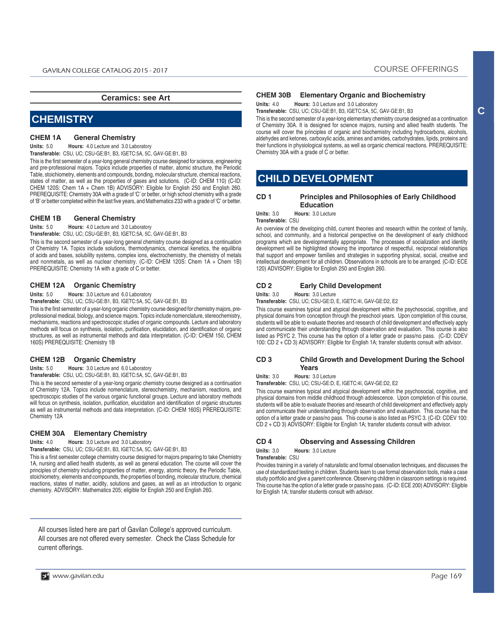## COURSE OFFERINGS

## **Ceramics: see Art**

# **CHEMISTRY**

## **CHEM 1A General Chemistry**

**Units:** 5.0 **Hours:** 4.0 Lecture and 3.0 Laboratory **Transferable:** CSU, UC; CSU-GE:B1, B3, IGETC:5A, 5C, GAV-GE:B1, B3

This is the first semester of a year-long general chemistry course designed for science, engineering and pre-professional majors. Topics include properties of matter, atomic structure, the Periodic Table, stoichiometry, elements and compounds, bonding, molecular structure, chemical reactions, states of matter, as well as the properties of gases and solutions. (C-ID: CHEM 110) (C-ID: CHEM 120S: Chem 1A + Chem 1B) ADVISORY: Eligible for English 250 and English 260. PREREQUISITE: Chemistry 30A with a grade of 'C' or better, or high school chemistry with a grade of 'B' or better completed within the last five years, and Mathematics 233 with a grade of 'C' or better.

#### **CHEM 1B General Chemistry**

**Units:** 5.0 **Hours:** 4.0 Lecture and 3.0 Laboratory

**Transferable:** CSU, UC; CSU-GE:B1, B3, IGETC:5A, 5C, GAV-GE:B1, B3

This is the second semester of a year-long general chemistry course designed as a continuation of Chemistry 1A. Topics include solutions, thermodynamics, chemical kenetics, the equilibria of acids and bases, solubility systems, complex ions, electrochemistry, the chemistry of metals and nonmetals, as well as nuclear chemistry. (C-ID: CHEM 120S: Chem 1A + Chem 1B) PREREQUISITE: Chemistry 1A with a grade of C or better.

## **CHEM 12A Organic Chemistry**

**Units:** 5.0 **Hours:** 3.0 Lecture and 6.0 Laboratory

**Transferable:** CSU, UC; CSU-GE:B1, B3, IGETC:5A, 5C, GAV-GE:B1, B3

This is the first semester of a year-long organic chemistry course designed for chemistry majors, preprofessional medical, biology, and science majors. Topics include nomenclature, stereochemistry, mechanisms, reactions and spectroscopic studies of organic compounds. Lecture and laboratory methods will focus on synthesis, isolation, purification, elucidation, and identification of organic structures, as well as instrumental methods and data interpretation. (C-ID: CHEM 150, CHEM 160S) PREREQUISITE: Chemistry 1B

### **CHEM 12B Organic Chemistry**

**Units:** 5.0 **Hours:** 3.0 Lecture and 6.0 Laboratory

**Transferable:** CSU, UC; CSU-GE:B1, B3, IGETC:5A, 5C, GAV-GE:B1, B3

This is the second semester of a year-long organic chemistry course designed as a continuation of Chemistry 12A. Topics include nomenclature, stereochemistry, mechanism, reactions, and spectroscopic studies of the various organic functional groups. Lecture and laboratory methods will focus on synthesis, isolation, purification, elucidation and identification of organic structures as well as instrumental methods and data interpretation. (C-ID: CHEM 160S) PREREQUISITE: Chemistry 12A

### **CHEM 30A Elementary Chemistry**

**Units:** 4.0 **Hours:** 3.0 Lecture and 3.0 Laboratory

**Transferable:** CSU, UC; CSU-GE:B1, B3, IGETC:5A, 5C, GAV-GE:B1, B3

This is a first semester college chemistry course designed for majors preparing to take Chemistry 1A, nursing and allied health students, as well as general education. The course will cover the principles of chemistry including properties of matter, energy, atomic theory, the Periodic Table, stoichiometry, elements and compounds, the properties of bonding, molecular structure, chemical reactions, states of matter, acidity, solutions and gases, as well as an introduction to organic chemistry. ADVISORY: Mathematics 205; eligible for English 250 and English 260.

 All courses listed here are part of Gavilan College's approved curriculum. All courses are not offered every semester. Check the Class Schedule for current offerings.

## **CHEM 30B Elementary Organic and Biochemistry**

**Units:** 4.0 **Hours:** 3.0 Lecture and 3.0 Laboratory

**Transferable:** CSU, UC; CSU-GE:B1, B3, IGETC:5A, 5C, GAV-GE:B1, B3 This is the second semester of a year-long elementary chemistry course designed as a continuation of Chemistry 30A. It is designed for science majors, nursing and allied health students. The course will cover the principles of organic and biochemistry including hydrocarbons, alcohols, aldehydes and ketones, carboxylic acids, amines and amides, carbohydrates, lipids, proteins and their functions in physiological systems, as well as organic chemical reactions. PREREQUISITE: Chemistry 30A with a grade of C or better.

# **CHILD DEVELOPMENT**

## **CD 1 Principles and Philosophies of Early Childhood Education**

**Units:** 3.0 **Hours:** 3.0 Lecture

**Transferable:** CSU

An overview of the developing child, current theories and research within the context of family, school, and community, and a historical perspective on the development of early childhood programs which are developmentally appropriate. The processes of socialization and identity development will be highlighted showing the importance of respectful, reciprocal relationships that support and empower families and strategies in supporting physical, social, creative and intellectual development for all children. Observations in schools are to be arranged. (C-ID: ECE 120) ADVISORY: Eligible for English 250 and English 260.

## **CD 2 Early Child Development**

**Units:** 3.0 **Hours:** 3.0 Lecture

**Transferable:** CSU, UC; CSU-GE:D, E, IGETC:4I, GAV-GE:D2, E2

This course examines typical and atypical development within the psychosocial, cognitive, and physical domains from conception through the preschool years. Upon completion of this course, students will be able to evaluate theories and research of child development and effectively apply and communicate their understanding through observation and evaluation. This course is also listed as PSYC 2. This course has the option of a letter grade or pass/no pass. (C-ID: CDEV 100: CD 2 + CD 3) ADVISORY: Eligible for English 1A; transfer students consult with advisor.

#### **CD 3 Child Growth and Development During the School Years**

**Units:** 3.0 **Hours:** 3.0 Lecture

**Transferable:** CSU, UC; CSU-GE:D, E, IGETC:4I, GAV-GE:D2, E2

This course examines typical and atypical development within the psychosocial, cognitive, and physical domains from middle childhood through adolescence. Upon completion of this course, students will be able to evaluate theories and research of child development and effectively apply and communicate their understanding through observation and evaluation. This course has the option of a letter grade or pass/no pass. This course is also listed as PSYC 3. (C-ID: CDEV 100: CD 2 + CD 3) ADVISORY: Eligible for English 1A; transfer students consult with advisor.

## **CD 4 Observing and Assessing Children**

**Units:** 3.0 **Hours:** 3.0 Lecture

**Transferable:** CSU

Provides training in a variety of naturalistic and formal observation techniques, and discusses the use of standardized testing in children. Students learn to use formal observation tools, make a case study portfolio and give a parent conference. Observing children in classroom settings is required. This course has the option of a letter grade or pass/no pass. (C-ID: ECE 200) ADVISORY: Eligible for English 1A; transfer students consult with advisor.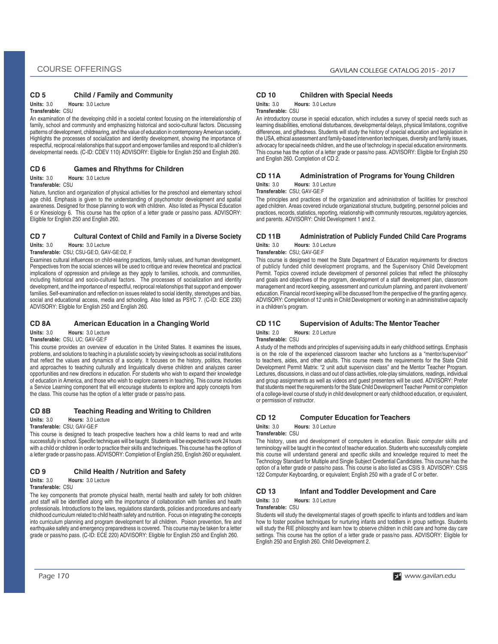## **CD 5 Child / Family and Community**

# **Units:** 3.0 **Hours:** 3.0 Lecture

**Transferable:** CSU

An examination of the developing child in a societal context focusing on the interrelationship of family, school and community and emphasizing historical and socio-cultural factors. Discussing patterns of development, childrearing, and the value of education in contemporary American society. Highlights the processes of socialization and identity development, showing the importance of respectful, reciprocal relationships that support and empower families and respond to all children's developmental needs. (C-ID: CDEV 110) ADVISORY: Eligible for English 250 and English 260.

## **CD 6 Games and Rhythms for Children**

**Units:** 3.0 **Hours:** 3.0 Lecture

### **Transferable:** CSU

Nature, function and organization of physical activities for the preschool and elementary school age child. Emphasis is given to the understanding of psychomotor development and spatial awareness. Designed for those planning to work with children. Also listed as Physical Education 6 or Kinesiology 6. This course has the option of a letter grade or pass/no pass. ADVISORY: Eligible for English 250 and English 260.

## **CD 7 Cultural Context of Child and Family in a Diverse Society**

**Units:** 3.0 **Hours:** 3.0 Lecture **Transferable:** CSU; CSU-GE:D, GAV-GE:D2, F

Examines cultural influences on child-rearing practices, family values, and human development. Perspectives from the social sciences will be used to critique and review theoretical and practical implications of oppression and privilege as they apply to families, schools, and communities, including historical and socio-cultural factors. The processes of socialization and identity development, and the importance of respectful, reciprocal relationships that support and empower families. Self-examination and reflection on issues related to social identity, stereotypes and bias, social and educational access, media and schooling. Also listed as PSYC 7. (C-ID: ECE 230) ADVISORY: Eligible for English 250 and English 260.

## **CD 8A American Education in a Changing World**

**Units:** 3.0 **Hours:** 3.0 Lecture

## **Transferable:** CSU, UC; GAV-GE:F

This course provides an overview of education in the United States. It examines the issues, problems, and solutions to teaching in a pluralistic society by viewing schools as social institutions that reflect the values and dynamics of a society. It focuses on the history, politics, theories and approaches to teaching culturally and linguistically diverse children and analyzes career opportunities and new directions in education. For students who wish to expand their knowledge of education in America, and those who wish to explore careers in teaching. This course includes a Service Learning component that will encourage students to explore and apply concepts from the class. This course has the option of a letter grade or pass/no pass.

## **CD 8B Teaching Reading and Writing to Children**

**Units:** 3.0 **Hours:** 3.0 Lecture

**Transferable:** CSU; GAV-GE:F

This course is designed to teach prospective teachers how a child learns to read and write successfully in school. Specific techniques will be taught. Students will be expected to work 24 hours with a child or children in order to practice their skills and techniques. This course has the option of a letter grade or pass/no pass. ADVISORY: Completion of English 250, English 260 or equivalent.

### **CD 9 Child Health / Nutrition and Safety**

## **Units:** 3.0 **Hours:** 3.0 Lecture

**Transferable:** CSU

The key components that promote physical health, mental health and safety for both children and staff will be identified along with the importance of collaboration with families and health professionals. Introductions to the laws, regulations standards, policies and procedures and early childhood curriculum related to child health safety and nutrition. Focus on integrating the concepts into curriculum planning and program development for all children. Poison prevention, fire and earthquake safety and emergency preparedness is covered. This course may be taken for a letter grade or pass/no pass. (C-ID: ECE 220) ADVISORY: Eligible for English 250 and English 260.

## **CD 10 Children with Special Needs**

**Units:** 3.0 **Hours:** 3.0 Lecture **Transferable:** CSU

An introductory course in special education, which includes a survey of special needs such as learning disabilities, emotional disturbances, developmental delays, physical limitations, cognitive differences, and giftedness. Students will study the history of special education and legislation in the USA, ethical assessment and family-based intervention techniques, diversity and family issues, advocacy for special needs children, and the use of technology in special education environments. This course has the option of a letter grade or pass/no pass. ADVISORY: Eligible for English 250 and English 260. Completion of CD 2.

## **CD 11A Administration of Programs for Young Children**

## **Units:** 3.0 **Hours:** 3.0 Lecture

**Transferable:** CSU; GAV-GE:F

The principles and practices of the organization and administration of facilities for preschool aged children. Areas covered include organizational structure, budgeting, personnel policies and practices, records, statistics, reporting, relationship with community resources, regulatory agencies, and parents. ADVISORY: Child Development 1 and 2.

## **CD 11B Administration of Publicly Funded Child Care Programs**

**Units:** 3.0 **Hours:** 3.0 Lecture **Transferable:** CSU; GAV-GE:F

This course is designed to meet the State Department of Education requirements for directors of publicly funded child development programs, and the Supervisory Child Development Permit. Topics covered include development of personnel policies that reflect the philosophy and goals and objectives of the program, development of a staff development plan, classroom management and record keeping, assessment and curriculum planning, and parent involvement/ education. Financial record keeping will be discussed from the perspective of the granting agency. ADVISORY: Completion of 12 units in Child Development or working in an administrative capacity in a children's program.

## **CD 11C Supervision of Adults: The Mentor Teacher**

**Units:** 2.0 **Hours:** 2.0 Lecture **Transferable:** CSU

A study of the methods and principles of supervising adults in early childhood settings. Emphasis is on the role of the experienced classroom teacher who functions as a "mentor/supervisor" to teachers, aides, and other adults. This course meets the requirements for the State Child Development Permit Matrix: "2 unit adult supervision class" and the Mentor Teacher Program. Lectures, discussions, in class and out of class activities, role-play simulations, readings, individual and group assignments as well as videos and guest presenters will be used. ADVISORY: Prefer that students meet the requirements for the State Child Development Teacher Permit or completion of a college-level course of study in child development or early childhood education, or equivalent, or permission of instructor.

## **CD 12 Computer Education for Teachers**

## **Units:** 3.0 **Hours:** 3.0 Lecture

**Transferable:** CSU

The history, uses and development of computers in education. Basic computer skills and terminology will be taught in the context of teacher education. Students who successfully complete this course will understand general and specific skills and knowledge required to meet the Technology Standard for Multiple and Single Subject Credential Candidates. This course has the option of a letter grade or pass/no pass. This course is also listed as CSIS 9. ADVISORY: CSIS 122 Computer Keyboarding, or equivalent; English 250 with a grade of C or better.

## **CD 13 Infant and Toddler Development and Care**

**Units:** 3.0 **Hours:** 3.0 Lecture

**Transferable:** CSU

Students will study the developmental stages of growth specific to infants and toddlers and learn how to foster positive techniques for nurturing infants and toddlers in group settings. Students will study the RIE philosophy and learn how to observe children in child care and home day care settings. This course has the option of a letter grade or pass/no pass. ADVISORY: Eligible for English 250 and English 260. Child Development 2.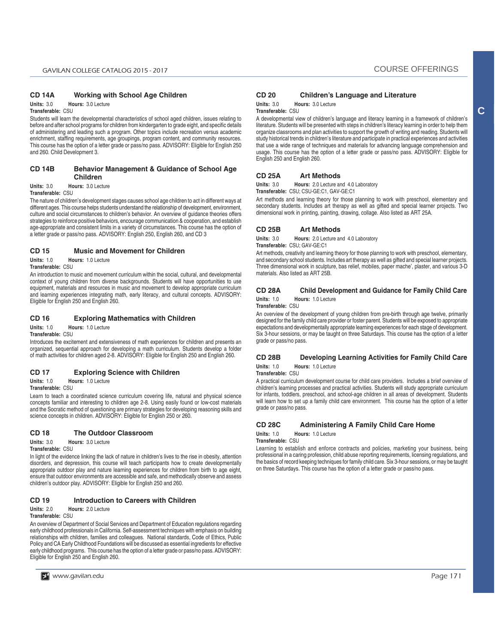### **CD 14A Working with School Age Children**

## **Units:** 3.0 **Hours:** 3.0 Lecture

**Transferable:** CSU

Students will learn the developmental characteristics of school aged children, issues relating to before and after school programs for children from kindergarten to grade eight, and specific details of administering and leading such a program. Other topics include recreation versus academic enrichment, staffing requirements, age groupings, program content, and community resources. This course has the option of a letter grade or pass/no pass. ADVISORY: Eligible for English 250 and 260. Child Development 3.

### **CD 14B Behavior Management & Guidance of School Age Children**

#### **Units:** 3.0 **Hours:** 3.0 Lecture

**Transferable:** CSU

#### The nature of children's development stages causes school age children to act in different ways at different ages. This course helps students understand the relationship of development, environment, culture and social circumstances to children's behavior. An overview of guidance theories offers strategies to reinforce positive behaviors, encourage communication & cooperation, and establish age-appropriate and consistent limits in a variety of circumstances. This course has the option of

**CD 15 Music and Movement for Children**

a letter grade or pass/no pass. ADVISORY: English 250, English 260, and CD 3

**Units:** 1.0 **Hours:** 1.0 Lecture

**Transferable:** CSU

An introduction to music and movement curriculum within the social, cultural, and developmental context of young children from diverse backgrounds. Students will have opportunities to use equipment, materials and resources in music and movement to develop appropriate curriculum and learning experiences integrating math, early literacy, and cultural concepts. ADVISORY: Eligible for English 250 and English 260.

## **CD 16 Exploring Mathematics with Children**

**Units:** 1.0 **Hours:** 1.0 Lecture

**Transferable:** CSU

Introduces the excitement and extensiveness of math experiences for children and presents an organized, sequential approach for developing a math curriculum. Students develop a folder of math activities for children aged 2-8. ADVISORY: Eligible for English 250 and English 260.

#### **CD 17 Exploring Science with Children**

**Units:** 1.0 **Hours:** 1.0 Lecture

**Transferable:** CSU

Learn to teach a coordinated science curriculum covering life, natural and physical science concepts familiar and interesting to children age 2-8. Using easily found or low-cost materials and the Socratic method of questioning are primary strategies for developing reasoning skills and science concepts in children. ADVISORY: Eligible for English 250 or 260.

### **CD 18 The Outdoor Classroom**

**Units:** 3.0 **Hours:** 3.0 Lecture **Transferable:** CSU

In light of the evidence linking the lack of nature in children's lives to the rise in obesity, attention disorders, and depression, this course will teach participants how to create developmentally appropriate outdoor play and nature learning experiences for children from birth to age eight, ensure that outdoor environments are accessible and safe, and methodically observe and assess children's outdoor play. ADVISORY: Eligible for English 250 and 260.

### **CD 19 Introduction to Careers with Children**

**Units:** 2.0 **Hours:** 2.0 Lecture

**Transferable:** CSU

An overview of Department of Social Services and Department of Education regulations regarding early childhood professionals in California. Self-assessment techniques with emphasis on building relationships with children, families and colleagues. National standards, Code of Ethics, Public Policy and CA Early Childhood Foundations will be discussed as essential ingredients for effective early childhood programs. This course has the option of a letter grade or pass/no pass. ADVISORY: Eligible for English 250 and English 260.

## COURSE OFFERINGS

## **CD 20 Children's Language and Literature**

**Units:** 3.0 **Hours:** 3.0 Lecture **Transferable:** CSU

A developmental view of children's language and literacy learning in a framework of children's literature. Students will be presented with steps in children's literacy learning in order to help them organize classrooms and plan activities to support the growth of writing and reading. Students will study historical trends in children's literature and participate in practical experiences and activities that use a wide range of techniques and materials for advancing language comprehension and usage. This course has the option of a letter grade or pass/no pass. ADVISORY: Eligible for English 250 and English 260.

#### **CD 25A Art Methods**

**Units:** 3.0 **Hours:** 2.0 Lecture and 4.0 Laboratory

**Transferable:** CSU; CSU-GE:C1, GAV-GE:C1

Art methods and learning theory for those planning to work with preschool, elementary and secondary students. Includes art therapy as well as gifted and special learner projects. Two dimensional work in printing, painting, drawing, collage. Also listed as ART 25A.

#### **CD 25B Art Methods**

**Units:** 3.0 **Hours:** 2.0 Lecture and 4.0 Laboratory

**Transferable:** CSU; GAV-GE:C1

Art methods, creativity and learning theory for those planning to work with preschool, elementary, and secondary school students. Includes art therapy as well as gifted and special learner projects. Three dimensional work in sculpture, bas relief, mobiles, paper mache', plaster, and various 3-D materials. Also listed as ART 25B.

# **CD 28A Child Development and Guidance for Family Child Care**

**Units:** 1.0 **Hours:** 1.0 Lecture **Transferable:** CSU

An overview of the development of young children from pre-birth through age twelve, primarily designed for the family child care provider or foster parent. Students will be exposed to appropriate expectations and developmentally appropriate learning experiences for each stage of development. Six 3-hour sessions, or may be taught on three Saturdays. This course has the option of a letter grade or pass/no pass.

#### **CD 28B Developing Learning Activities for Family Child Care Units:** 1.0 **Hours:** 1.0 Lecture

**Transferable:** CSU

A practical curriculum development course for child care providers. Includes a brief overview of children's learning processes and practical activities. Students will study appropriate curriculum for infants, toddlers, preschool, and school-age children in all areas of development. Students will learn how to set up a family child care environment. This course has the option of a letter grade or pass/no pass.

### **CD 28C Administering A Family Child Care Home**

**Units:** 1.0 **Hours:** 1.0 Lecture

**Transferable:** CSU

Learning to establish and enforce contracts and policies, marketing your business, being professional in a caring profession, child abuse reporting requirements, licensing regulations, and the basics of record keeping techniques for family child care. Six 3-hour sessions, or may be taught on three Saturdays. This course has the option of a letter grade or pass/no pass.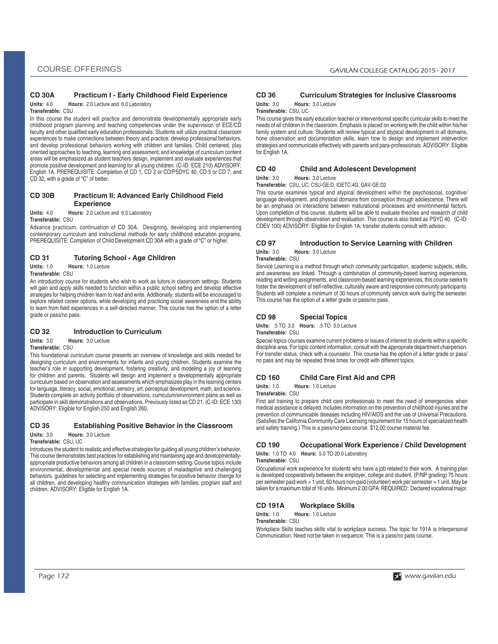## **CD 30A Practicum I - Early Childhood Field Experience**

**Units:** 4.0 **Hours:** 2.0 Lecture and 6.0 Laboratory **Transferable:** CSU

In this course the student will practice and demonstrate developmentally appropriate early childhood program planning and teaching competencies under the supervision of ECE/CD faculty and other qualified early education professionals. Students will utilize practical classroom experiences to make connections between theory and practice, develop professional behaviors, and develop professional behaviors working with children and families. Child centered, play oriented approaches to teaching, learning and assessment; and knowledge of curriculum content areas will be emphasized as student teachers design, implement and evaluate experiences that promote positive development and learning for all young children. (C-ID: ECE 210) ADVISORY: English 1A. PREREQUISITE: Completion of CD 1, CD 2 or CD/PSDYC 40, CD 5 or CD 7, and CD 32, with a grade of "C" of better.

## **CD 30B Practicum II: Advanced Early Childhood Field Experience**

**Units:** 4.0 **Hours:** 2.0 Lecture and 6.0 Laboratory

#### **Transferable:** CSU

Advance practicum, continuation of CD 30A. Designing, developing and implementing contemporary curriculum and instructional methods for early childhood education programs. PREREQUISITE: Completion of Child Development CD 30A with a grade of "C" or higher.

## **CD 31 Tutoring School - Age Children**

**Units:** 1.0 **Hours:** 1.0 Lecture **Transferable:** CSU

An introductory course for students who wish to work as tutors in classroom settings. Students will gain and apply skills needed to function within a public school setting and develop effective strategies for helping children learn to read and write. Additionally, students will be encouraged to explore related career options, while developing and practicing social awareness and the ability to learn from field experiences in a self-directed manner. This course has the option of a letter grade or pass/no pass.

## **CD 32 Introduction to Curriculum**

**Units:** 3.0 **Hours:** 3.0 Lecture **Transferable:** CSU

This foundational curriculum course presents an overview of knowledge and skills needed for designing curriculum and environments for infants and young children. Students examine the teacher's role in supporting development, fostering creativity, and modeling a joy of learning for children and parents. Students will design and implement a developmentally appropriate curriculum based on observation and assessments which emphasizes play in the learning centers for language, literacy, social, emotional, sensory, art, perceptual development, math, and science. Students complete an activity portfolio of observations, curriculum/environment plans as well as participate in skill demonstrations and observations. Previously listed as CD 21. (C-ID: ECE 130) ADVISORY: Eligible for English 250 and English 260.

## **CD 35 Establishing Positive Behavior in the Classroom**

**Units:** 3.0 **Hours:** 3.0 Lecture

#### **Transferable:** CSU, UC

Introduces the student to realistic and effective strategies for guiding all young children's behavior. This course demonstrates best practices for establishing and maintaining age and developmentallyappropriate productive behaviors among all children in a classroom setting. Course topics include environmental, developmental and special needs sources of maladaptive and challenging behaviors, guidelines for selecting and implementing strategies for positive behavior change for all children, and developing healthy communication strategies with families, program staff and children. ADVISORY: Eligible for English 1A.

# **CD 36 Curriculum Strategies for Inclusive Classrooms**

**Units:** 3.0 **Hours:** 3.0 Lecture **Transferable:** CSU, UC

This course gives the early education teacher or interventionist specific curricular skills to meet the needs of all children in the classroom. Emphasis is placed on working with the child within his/her family system and culture. Students will review typical and atypical development in all domains, hone observation and documentation skills, learn how to design and implement intervention strategies and communicate effectively with parents and para-professionals. ADVISORY: Eligible for English 1A.

### **CD 40 Child and Adolescent Development**

**Units:** 3.0 **Hours:** 3.0 Lecture

## **Transferable:** CSU, UC; CSU-GE:D, IGETC:4G, GAV-GE:D2

This course examines typical and atypical development within the psychosocial, cognitive/ language development, and physical domains from conception through adolescence. There will be an emphasis on interactions between maturational processes and environmental factors. Upon completion of this course, students will be able to evaluate theories and research of child development through observation and evaluation. This course is also listed as PSYC 40. (C-ID: CDEV 100) ADVISORY: Eligible for English 1A; transfer students consult with advisor.

## **CD 97 Introduction to Service Learning with Children**

**Units:** 3.0 **Hours:** 3.0 Lecture **Transferable:** CSU

Service Learning is a method through which community participation, academic subjects, skills, and awareness are linked. Through a combination of community-based learning experiences, reading and writing assignments, and classroom-based learning experiences, this course seeks to foster the development of self-reflective, culturally aware and responsive community participants. Students will complete a minimum of 30 hours of community service work during the semester. This course has the option of a letter grade or pass/no pass.

## **CD 98 Special Topics**

**Units:** .5 TO 3.0 **Hours:** .5 TO 3.0 Lecture

**Transferable:** CSU

Special topics courses examine current problems or issues of interest to students within a specific discipline area. For topic content information, consult with the appropriate department chairperson. For transfer status, check with a counselor. This course has the option of a letter grade or pass/ no pass and may be repeated three times for credit with different topics.

## **CD 160 Child Care First Aid and CPR**

**Units:** 1.0 **Hours:** 1.0 Lecture

**Transferable:** CSU

First aid training to prepare child care professionals to meet the need of emergencies when medical assistance is delayed. Includes information on the prevention of childhood injuries and the prevention of communicable diseases including HIV/AIDS and the use of Universal Precautions. (Satisfies the California Community Care Licensing requirement for 15 hours of specialized health and safety training.) This is a pass/no pass course. \$12.00 course material fee.

## **CD 190 Occupational Work Experience / Child Development**

**Units:** 1.0 TO 4.0 **Hours:** 5.0 TO 20.0 Laboratory

#### **Transferable:** CSU

Occupational work experience for students who have a job related to their work. A training plan is developed cooperatively between the employer, college and student. (P/NP grading) 75 hours per semester paid work = 1 unit. 60 hours non-paid (volunteer) work per semester = 1 unit. May be taken for a maximum total of 16 units. Minimum 2.00 GPA. REQUIRED: Declared vocational major.

## **CD 191A Workplace Skills**

**Units:** 1.0 **Hours:** 1.0 Lecture **Transferable:** CSU

Workplace Skills teaches skills vital to workplace success. The topic for 191A is Interpersonal Communication. Need not be taken in sequence. This is a pass/no pass course.